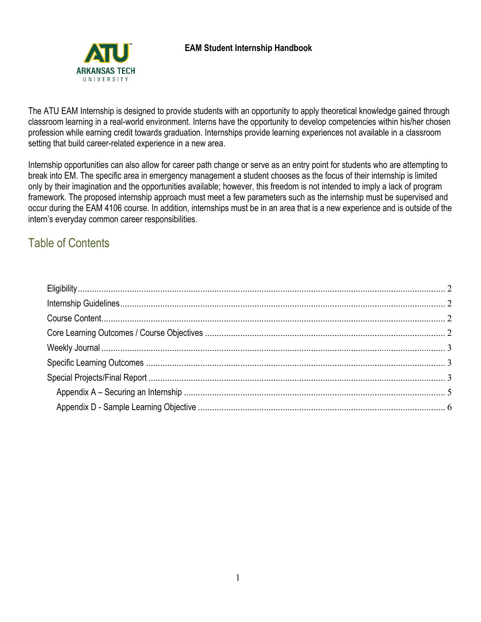

The ATU EAM Internship is designed to provide students with an opportunity to apply theoretical knowledge gained through classroom learning in a real-world environment. Interns have the opportunity to develop competencies within his/her chosen profession while earning credit towards graduation. Internships provide learning experiences not available in a classroom setting that build career-related experience in a new area.

Internship opportunities can also allow for career path change or serve as an entry point for students who are attempting to break into EM. The specific area in emergency management a student chooses as the focus of their internship is limited only by their imagination and the opportunities available; however, this freedom is not intended to imply a lack of program framework. The proposed internship approach must meet a few parameters such as the internship must be supervised and occur during the EAM 4106 course. In addition, internships must be in an area that is a new experience and is outside of the intern's everyday common career responsibilities.

## Table of Contents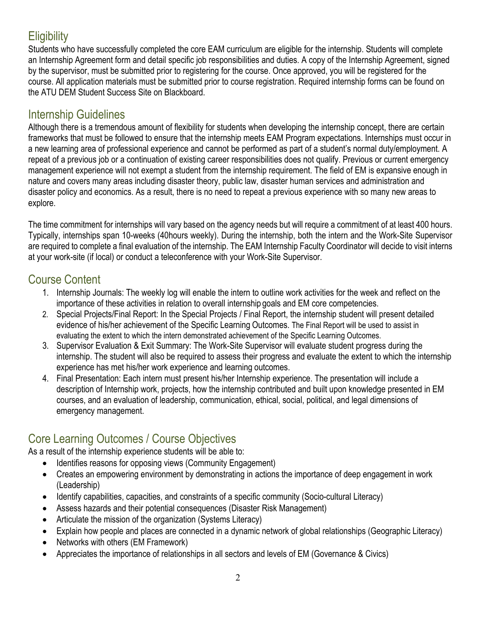# <span id="page-1-0"></span>**Eligibility**

Students who have successfully completed the core EAM curriculum are eligible for the internship. Students will complete an Internship Agreement form and detail specific job responsibilities and duties. A copy of the Internship Agreement, signed by the supervisor, must be submitted prior to registering for the course. Once approved, you will be registered for the course. All application materials must be submitted prior to course registration. Required internship forms can be found on the ATU DEM Student Success Site on Blackboard.

### <span id="page-1-1"></span>Internship Guidelines

Although there is a tremendous amount of flexibility for students when developing the internship concept, there are certain frameworks that must be followed to ensure that the internship meets EAM Program expectations. Internships must occur in a new learning area of professional experience and cannot be performed as part of a student's normal duty/employment. A repeat of a previous job or a continuation of existing career responsibilities does not qualify. Previous or current emergency management experience will not exempt a student from the internship requirement. The field of EM is expansive enough in nature and covers many areas including disaster theory, public law, disaster human services and administration and disaster policy and economics. As a result, there is no need to repeat a previous experience with so many new areas to explore.

The time commitment for internships will vary based on the agency needs but will require a commitment of at least 400 hours. Typically, internships span 10-weeks (40hours weekly). During the internship, both the intern and the Work-Site Supervisor are required to complete a final evaluation of the internship. The EAM Internship Faculty Coordinator will decide to visit interns at your work-site (if local) or conduct a teleconference with your Work-Site Supervisor.

### <span id="page-1-2"></span>Course Content

- 1. Internship Journals: The weekly log will enable the intern to outline work activities for the week and reflect on the importance of these activities in relation to overall internship goals and EM core competencies.
- 2. Special Projects/Final Report: In the Special Projects / Final Report, the internship student will present detailed evidence of his/her achievement of the Specific Learning Outcomes. The Final Report will be used to assist in evaluating the extent to which the intern demonstrated achievement of the Specific Learning Outcomes.
- 3. Supervisor Evaluation & Exit Summary: The Work-Site Supervisor will evaluate student progress during the internship. The student will also be required to assess their progress and evaluate the extent to which the internship experience has met his/her work experience and learning outcomes.
- 4. Final Presentation: Each intern must present his/her Internship experience. The presentation will include a description of Internship work, projects, how the internship contributed and built upon knowledge presented in EM courses, and an evaluation of leadership, communication, ethical, social, political, and legal dimensions of emergency management.

# <span id="page-1-3"></span>Core Learning Outcomes / Course Objectives

As a result of the internship experience students will be able to:

- Identifies reasons for opposing views (Community Engagement)
- Creates an empowering environment by demonstrating in actions the importance of deep engagement in work (Leadership)
- Identify capabilities, capacities, and constraints of a specific community (Socio-cultural Literacy)
- Assess hazards and their potential consequences (Disaster Risk Management)
- Articulate the mission of the organization (Systems Literacy)
- Explain how people and places are connected in a dynamic network of global relationships (Geographic Literacy)
- Networks with others (EM Framework)
- Appreciates the importance of relationships in all sectors and levels of EM (Governance & Civics)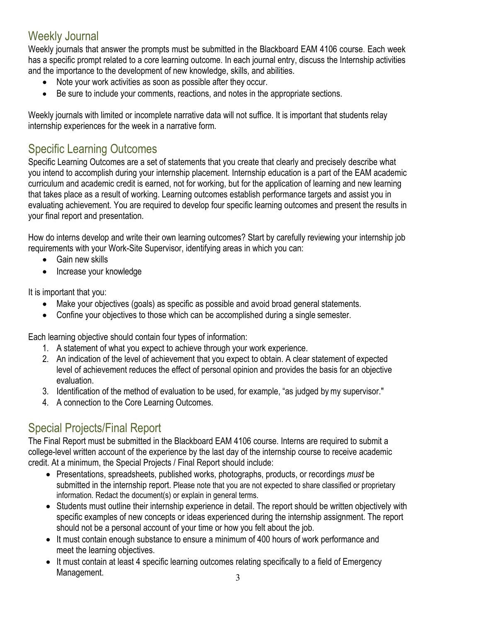## <span id="page-2-0"></span>Weekly Journal

Weekly journals that answer the prompts must be submitted in the Blackboard EAM 4106 course. Each week has a specific prompt related to a core learning outcome. In each journal entry, discuss the Internship activities and the importance to the development of new knowledge, skills, and abilities.

- Note your work activities as soon as possible after they occur.
- Be sure to include your comments, reactions, and notes in the appropriate sections.

Weekly journals with limited or incomplete narrative data will not suffice. It is important that students relay internship experiences for the week in a narrative form.

## <span id="page-2-1"></span>Specific Learning Outcomes

Specific Learning Outcomes are a set of statements that you create that clearly and precisely describe what you intend to accomplish during your internship placement. Internship education is a part of the EAM academic curriculum and academic credit is earned, not for working, but for the application of learning and new learning that takes place as a result of working. Learning outcomes establish performance targets and assist you in evaluating achievement. You are required to develop four specific learning outcomes and present the results in your final report and presentation.

How do interns develop and write their own learning outcomes? Start by carefully reviewing your internship job requirements with your Work-Site Supervisor, identifying areas in which you can:

- Gain new skills
- Increase your knowledge

It is important that you:

- Make your objectives (goals) as specific as possible and avoid broad general statements.
- Confine your objectives to those which can be accomplished during a single semester.

Each learning objective should contain four types of information:

- 1. A statement of what you expect to achieve through your work experience.
- 2. An indication of the level of achievement that you expect to obtain. A clear statement of expected level of achievement reduces the effect of personal opinion and provides the basis for an objective evaluation.
- 3. Identification of the method of evaluation to be used, for example, "as judged bymy supervisor."
- 4. A connection to the Core Learning Outcomes.

# <span id="page-2-2"></span>Special Projects/Final Report

The Final Report must be submitted in the Blackboard EAM 4106 course. Interns are required to submit a college-level written account of the experience by the last day of the internship course to receive academic credit. At a minimum, the Special Projects / Final Report should include:

- Presentations, spreadsheets, published works, photographs, products, or recordings *must* be submitted in the internship report. Please note that you are not expected to share classified or proprietary information. Redact the document(s) or explain in general terms.
- Students must outline their internship experience in detail. The report should be written objectively with specific examples of new concepts or ideas experienced during the internship assignment. The report should not be a personal account of your time or how you felt about the job.
- It must contain enough substance to ensure a minimum of 400 hours of work performance and meet the learning objectives.
- It must contain at least 4 specific learning outcomes relating specifically to a field of Emergency Management.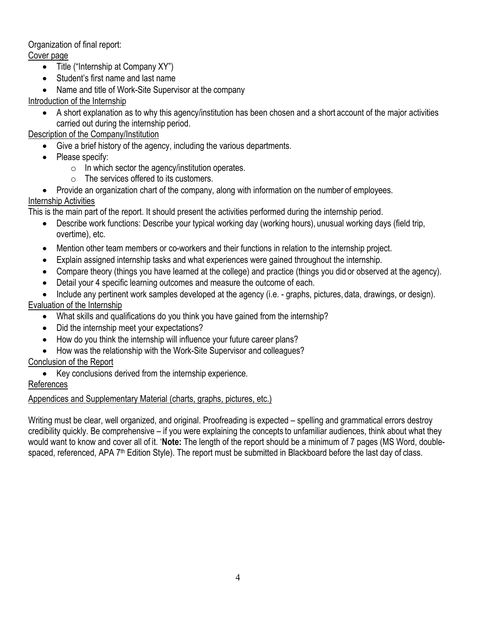#### Organization of final report:

#### Cover page

- Title ("Internship at Company XY")
- Student's first name and last name
- Name and title of Work-Site Supervisor at the company

### Introduction of the Internship

• A short explanation as to why this agency/institution has been chosen and a short account of the major activities carried out during the internship period.

#### Description of the Company/Institution

- Give a brief history of the agency, including the various departments.
- Please specify:
	- $\circ$  In which sector the agency/institution operates.
	- o The services offered to its customers.

• Provide an organization chart of the company, along with information on the number of employees. Internship Activities

This is the main part of the report. It should present the activities performed during the internship period.

- Describe work functions: Describe your typical working day (working hours), unusual working days (field trip, overtime), etc.
- Mention other team members or co-workers and their functions in relation to the internship project.
- Explain assigned internship tasks and what experiences were gained throughout the internship.
- Compare theory (things you have learned at the college) and practice (things you did or observed at the agency).
- Detail your 4 specific learning outcomes and measure the outcome of each.

• Include any pertinent work samples developed at the agency (i.e. - graphs, pictures, data, drawings, or design). Evaluation of the Internship

- What skills and qualifications do you think you have gained from the internship?
- Did the internship meet your expectations?
- How do you think the internship will influence your future career plans?
- How was the relationship with the Work-Site Supervisor and colleagues?

#### Conclusion of the Report

• Key conclusions derived from the internship experience.

### References

### Appendices and Supplementary Material (charts, graphs, pictures, etc.)

Writing must be clear, well organized, and original. Proofreading is expected – spelling and grammatical errors destroy credibility quickly. Be comprehensive – if you were explaining the concepts to unfamiliar audiences, think about what they would want to know and cover all of it. '**Note:** The length of the report should be a minimum of 7 pages (MS Word, doublespaced, referenced, APA 7<sup>th</sup> Edition Style). The report must be submitted in Blackboard before the last day of class.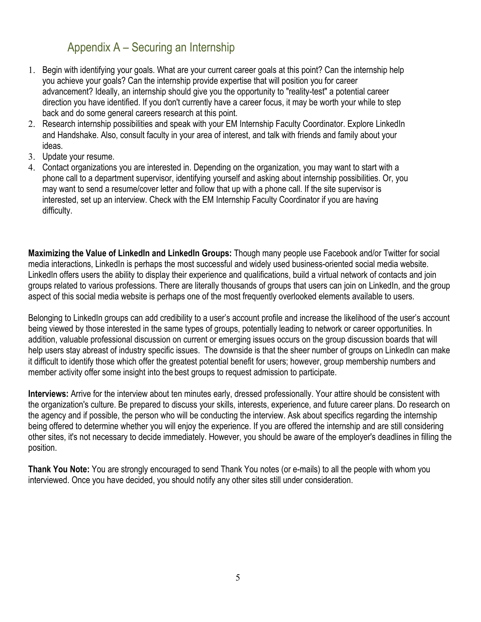## Appendix A – Securing an Internship

- <span id="page-4-0"></span>1. Begin with identifying your goals. What are your current career goals at this point? Can the internship help you achieve your goals? Can the internship provide expertise that will position you for career advancement? Ideally, an internship should give you the opportunity to "reality-test" a potential career direction you have identified. If you don't currently have a career focus, it may be worth your while to step back and do some general careers research at this point.
- 2. Research internship possibilities and speak with your EM Internship Faculty Coordinator. Explore LinkedIn and Handshake. Also, consult faculty in your area of interest, and talk with friends and family about your ideas.
- 3. Update your resume.
- 4. Contact organizations you are interested in. Depending on the organization, you may want to start with a phone call to a department supervisor, identifying yourself and asking about internship possibilities. Or, you may want to send a resume/cover letter and follow that up with a phone call. If the site supervisor is interested, set up an interview. Check with the EM Internship Faculty Coordinator if you are having difficulty.

**Maximizing the Value of LinkedIn and LinkedIn Groups:** Though many people use Facebook and/or Twitter for social media interactions, LinkedIn is perhaps the most successful and widely used business-oriented social media website. LinkedIn offers users the ability to display their experience and qualifications, build a virtual network of contacts and join groups related to various professions. There are literally thousands of groups that users can join on LinkedIn, and the group aspect of this social media website is perhaps one of the most frequently overlooked elements available to users.

Belonging to LinkedIn groups can add credibility to a user's account profile and increase the likelihood of the user's account being viewed by those interested in the same types of groups, potentially leading to network or career opportunities. In addition, valuable professional discussion on current or emerging issues occurs on the group discussion boards that will help users stay abreast of industry specific issues. The downside is that the sheer number of groups on LinkedIn can make it difficult to identify those which offer the greatest potential benefit for users; however, group membership numbers and member activity offer some insight into the best groups to request admission to participate.

**Interviews:** Arrive for the interview about ten minutes early, dressed professionally. Your attire should be consistent with the organization's culture. Be prepared to discuss your skills, interests, experience, and future career plans. Do research on the agency and if possible, the person who will be conducting the interview. Ask about specifics regarding the internship being offered to determine whether you will enjoy the experience. If you are offered the internship and are still considering other sites, it's not necessary to decide immediately. However, you should be aware of the employer's deadlines in filling the position.

**Thank You Note:** You are strongly encouraged to send Thank You notes (or e-mails) to all the people with whom you interviewed. Once you have decided, you should notify any other sites still under consideration.